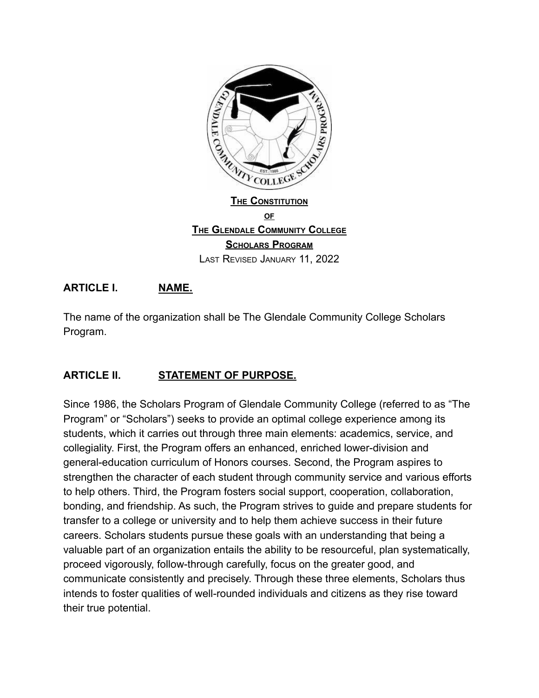

### **ARTICLE I. NAME.**

The name of the organization shall be The Glendale Community College Scholars Program.

#### **ARTICLE II. STATEMENT OF PURPOSE.**

Since 1986, the Scholars Program of Glendale Community College (referred to as "The Program" or "Scholars") seeks to provide an optimal college experience among its students, which it carries out through three main elements: academics, service, and collegiality. First, the Program offers an enhanced, enriched lower-division and general-education curriculum of Honors courses. Second, the Program aspires to strengthen the character of each student through community service and various efforts to help others. Third, the Program fosters social support, cooperation, collaboration, bonding, and friendship. As such, the Program strives to guide and prepare students for transfer to a college or university and to help them achieve success in their future careers. Scholars students pursue these goals with an understanding that being a valuable part of an organization entails the ability to be resourceful, plan systematically, proceed vigorously, follow-through carefully, focus on the greater good, and communicate consistently and precisely. Through these three elements, Scholars thus intends to foster qualities of well-rounded individuals and citizens as they rise toward their true potential.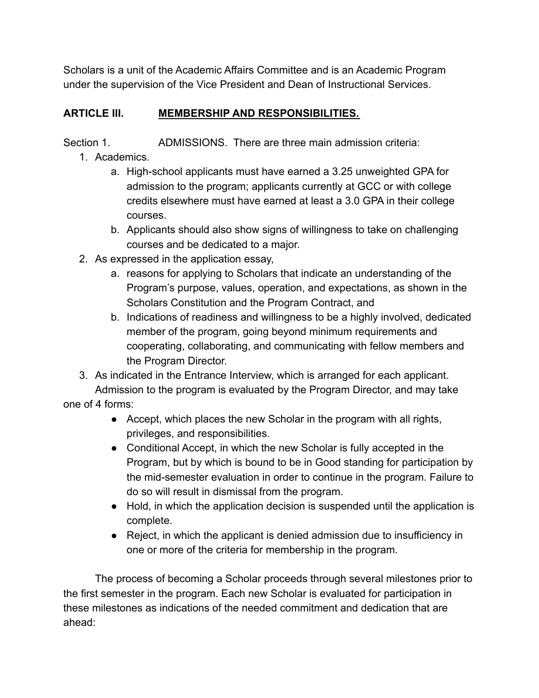Scholars is a unit of the Academic Affairs Committee and is an Academic Program under the supervision of the Vice President and Dean of Instructional Services.

## **ARTICLE III. MEMBERSHIP AND RESPONSIBILITIES.**

Section 1. ADMISSIONS. There are three main admission criteria:

- 1. Academics.
	- a. High-school applicants must have earned a 3.25 unweighted GPA for admission to the program; applicants currently at GCC or with college credits elsewhere must have earned at least a 3.0 GPA in their college courses.
	- b. Applicants should also show signs of willingness to take on challenging courses and be dedicated to a major.
- 2. As expressed in the application essay,
	- a. reasons for applying to Scholars that indicate an understanding of the Program's purpose, values, operation, and expectations, as shown in the Scholars Constitution and the Program Contract, and
	- b. Indications of readiness and willingness to be a highly involved, dedicated member of the program, going beyond minimum requirements and cooperating, collaborating, and communicating with fellow members and the Program Director.
- 3. As indicated in the Entrance Interview, which is arranged for each applicant. Admission to the program is evaluated by the Program Director, and may take

one of 4 forms:

- Accept, which places the new Scholar in the program with all rights, privileges, and responsibilities.
- Conditional Accept, in which the new Scholar is fully accepted in the Program, but by which is bound to be in Good standing for participation by the mid-semester evaluation in order to continue in the program. Failure to do so will result in dismissal from the program.
- Hold, in which the application decision is suspended until the application is complete.
- Reject, in which the applicant is denied admission due to insufficiency in one or more of the criteria for membership in the program.

The process of becoming a Scholar proceeds through several milestones prior to the first semester in the program. Each new Scholar is evaluated for participation in these milestones as indications of the needed commitment and dedication that are ahead: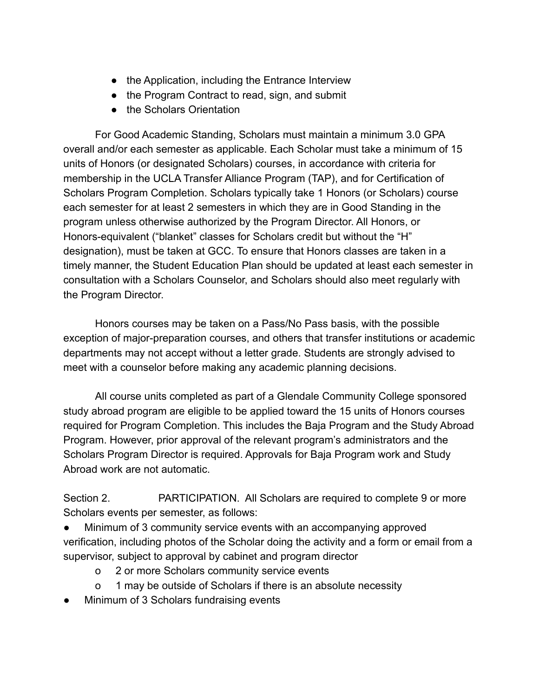- the Application, including the Entrance Interview
- the Program Contract to read, sign, and submit
- the Scholars Orientation

For Good Academic Standing, Scholars must maintain a minimum 3.0 GPA overall and/or each semester as applicable. Each Scholar must take a minimum of 15 units of Honors (or designated Scholars) courses, in accordance with criteria for membership in the UCLA Transfer Alliance Program (TAP), and for Certification of Scholars Program Completion. Scholars typically take 1 Honors (or Scholars) course each semester for at least 2 semesters in which they are in Good Standing in the program unless otherwise authorized by the Program Director. All Honors, or Honors-equivalent ("blanket" classes for Scholars credit but without the "H" designation), must be taken at GCC. To ensure that Honors classes are taken in a timely manner, the Student Education Plan should be updated at least each semester in consultation with a Scholars Counselor, and Scholars should also meet regularly with the Program Director.

Honors courses may be taken on a Pass/No Pass basis, with the possible exception of major-preparation courses, and others that transfer institutions or academic departments may not accept without a letter grade. Students are strongly advised to meet with a counselor before making any academic planning decisions.

All course units completed as part of a Glendale Community College sponsored study abroad program are eligible to be applied toward the 15 units of Honors courses required for Program Completion. This includes the Baja Program and the Study Abroad Program. However, prior approval of the relevant program's administrators and the Scholars Program Director is required. Approvals for Baja Program work and Study Abroad work are not automatic.

Section 2. **PARTICIPATION.** All Scholars are required to complete 9 or more Scholars events per semester, as follows:

Minimum of 3 community service events with an accompanying approved verification, including photos of the Scholar doing the activity and a form or email from a supervisor, subject to approval by cabinet and program director

- o 2 or more Scholars community service events
- o 1 may be outside of Scholars if there is an absolute necessity
- Minimum of 3 Scholars fundraising events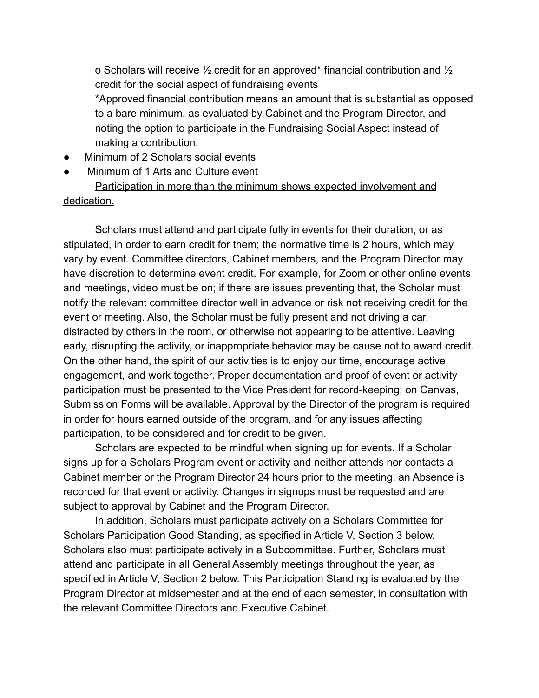o Scholars will receive ½ credit for an approved\* financial contribution and ½ credit for the social aspect of fundraising events

\*Approved financial contribution means an amount that is substantial as opposed to a bare minimum, as evaluated by Cabinet and the Program Director, and noting the option to participate in the Fundraising Social Aspect instead of making a contribution.

- Minimum of 2 Scholars social events
- Minimum of 1 Arts and Culture event

Participation in more than the minimum shows expected involvement and dedication.

Scholars must attend and participate fully in events for their duration, or as stipulated, in order to earn credit for them; the normative time is 2 hours, which may vary by event. Committee directors, Cabinet members, and the Program Director may have discretion to determine event credit. For example, for Zoom or other online events and meetings, video must be on; if there are issues preventing that, the Scholar must notify the relevant committee director well in advance or risk not receiving credit for the event or meeting. Also, the Scholar must be fully present and not driving a car, distracted by others in the room, or otherwise not appearing to be attentive. Leaving early, disrupting the activity, or inappropriate behavior may be cause not to award credit. On the other hand, the spirit of our activities is to enjoy our time, encourage active engagement, and work together. Proper documentation and proof of event or activity participation must be presented to the Vice President for record-keeping; on Canvas, Submission Forms will be available. Approval by the Director of the program is required in order for hours earned outside of the program, and for any issues affecting participation, to be considered and for credit to be given.

Scholars are expected to be mindful when signing up for events. If a Scholar signs up for a Scholars Program event or activity and neither attends nor contacts a Cabinet member or the Program Director 24 hours prior to the meeting, an Absence is recorded for that event or activity. Changes in signups must be requested and are subject to approval by Cabinet and the Program Director.

In addition, Scholars must participate actively on a Scholars Committee for Scholars Participation Good Standing, as specified in Article V, Section 3 below. Scholars also must participate actively in a Subcommittee. Further, Scholars must attend and participate in all General Assembly meetings throughout the year, as specified in Article V, Section 2 below. This Participation Standing is evaluated by the Program Director at midsemester and at the end of each semester, in consultation with the relevant Committee Directors and Executive Cabinet.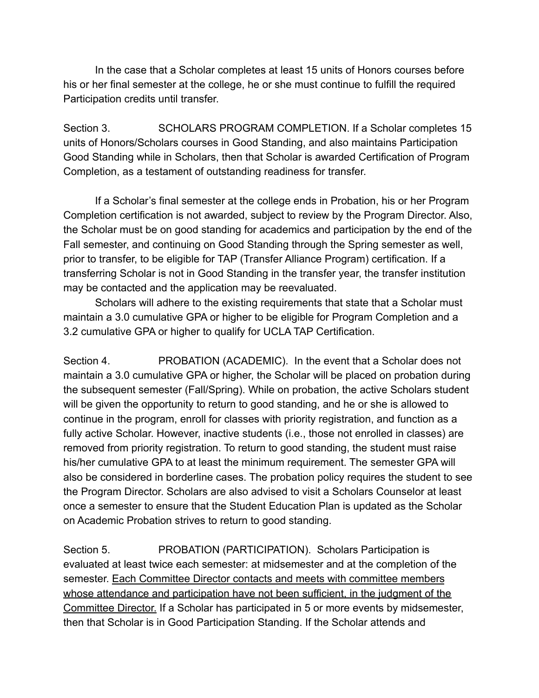In the case that a Scholar completes at least 15 units of Honors courses before his or her final semester at the college, he or she must continue to fulfill the required Participation credits until transfer.

Section 3. SCHOLARS PROGRAM COMPLETION. If a Scholar completes 15 units of Honors/Scholars courses in Good Standing, and also maintains Participation Good Standing while in Scholars, then that Scholar is awarded Certification of Program Completion, as a testament of outstanding readiness for transfer.

If a Scholar's final semester at the college ends in Probation, his or her Program Completion certification is not awarded, subject to review by the Program Director. Also, the Scholar must be on good standing for academics and participation by the end of the Fall semester, and continuing on Good Standing through the Spring semester as well, prior to transfer, to be eligible for TAP (Transfer Alliance Program) certification. If a transferring Scholar is not in Good Standing in the transfer year, the transfer institution may be contacted and the application may be reevaluated.

Scholars will adhere to the existing requirements that state that a Scholar must maintain a 3.0 cumulative GPA or higher to be eligible for Program Completion and a 3.2 cumulative GPA or higher to qualify for UCLA TAP Certification.

Section 4. PROBATION (ACADEMIC). In the event that a Scholar does not maintain a 3.0 cumulative GPA or higher, the Scholar will be placed on probation during the subsequent semester (Fall/Spring). While on probation, the active Scholars student will be given the opportunity to return to good standing, and he or she is allowed to continue in the program, enroll for classes with priority registration, and function as a fully active Scholar. However, inactive students (i.e., those not enrolled in classes) are removed from priority registration. To return to good standing, the student must raise his/her cumulative GPA to at least the minimum requirement. The semester GPA will also be considered in borderline cases. The probation policy requires the student to see the Program Director. Scholars are also advised to visit a Scholars Counselor at least once a semester to ensure that the Student Education Plan is updated as the Scholar on Academic Probation strives to return to good standing.

Section 5. PROBATION (PARTICIPATION). Scholars Participation is evaluated at least twice each semester: at midsemester and at the completion of the semester. Each Committee Director contacts and meets with committee members whose attendance and participation have not been sufficient, in the judgment of the Committee Director. If a Scholar has participated in 5 or more events by midsemester, then that Scholar is in Good Participation Standing. If the Scholar attends and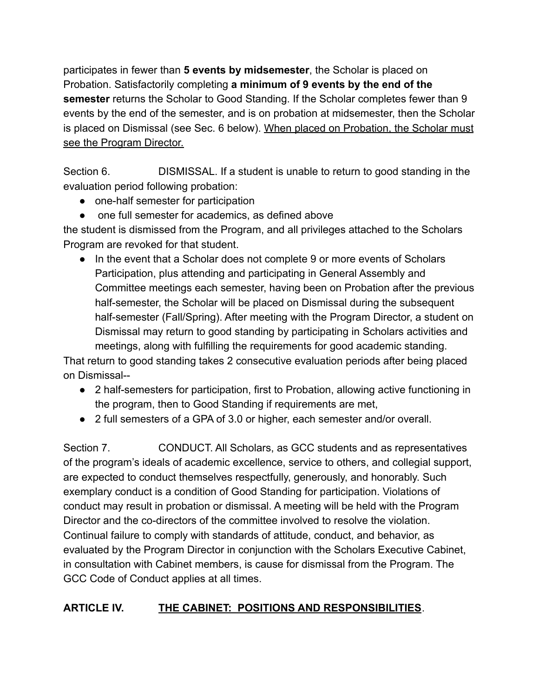participates in fewer than **5 events by midsemester**, the Scholar is placed on Probation. Satisfactorily completing **a minimum of 9 events by the end of the semester** returns the Scholar to Good Standing. If the Scholar completes fewer than 9 events by the end of the semester, and is on probation at midsemester, then the Scholar is placed on Dismissal (see Sec. 6 below). When placed on Probation, the Scholar must see the Program Director.

Section 6. DISMISSAL. If a student is unable to return to good standing in the evaluation period following probation:

- one-half semester for participation
- one full semester for academics, as defined above

the student is dismissed from the Program, and all privileges attached to the Scholars Program are revoked for that student.

● In the event that a Scholar does not complete 9 or more events of Scholars Participation, plus attending and participating in General Assembly and Committee meetings each semester, having been on Probation after the previous half-semester, the Scholar will be placed on Dismissal during the subsequent half-semester (Fall/Spring). After meeting with the Program Director, a student on Dismissal may return to good standing by participating in Scholars activities and meetings, along with fulfilling the requirements for good academic standing.

That return to good standing takes 2 consecutive evaluation periods after being placed on Dismissal--

- 2 half-semesters for participation, first to Probation, allowing active functioning in the program, then to Good Standing if requirements are met,
- 2 full semesters of a GPA of 3.0 or higher, each semester and/or overall.

Section 7. CONDUCT. All Scholars, as GCC students and as representatives of the program's ideals of academic excellence, service to others, and collegial support, are expected to conduct themselves respectfully, generously, and honorably. Such exemplary conduct is a condition of Good Standing for participation. Violations of conduct may result in probation or dismissal. A meeting will be held with the Program Director and the co-directors of the committee involved to resolve the violation. Continual failure to comply with standards of attitude, conduct, and behavior, as evaluated by the Program Director in conjunction with the Scholars Executive Cabinet, in consultation with Cabinet members, is cause for dismissal from the Program. The GCC Code of Conduct applies at all times.

# **ARTICLE IV. THE CABINET: POSITIONS AND RESPONSIBILITIES**.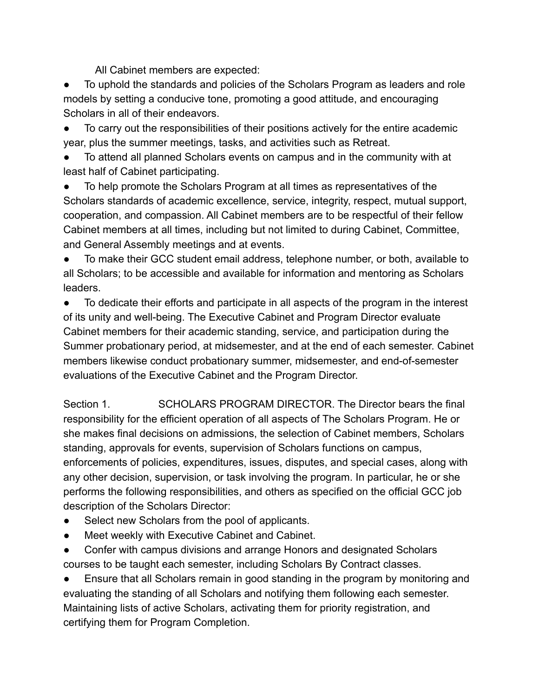All Cabinet members are expected:

To uphold the standards and policies of the Scholars Program as leaders and role models by setting a conducive tone, promoting a good attitude, and encouraging Scholars in all of their endeavors.

To carry out the responsibilities of their positions actively for the entire academic year, plus the summer meetings, tasks, and activities such as Retreat.

To attend all planned Scholars events on campus and in the community with at least half of Cabinet participating.

To help promote the Scholars Program at all times as representatives of the Scholars standards of academic excellence, service, integrity, respect, mutual support, cooperation, and compassion. All Cabinet members are to be respectful of their fellow Cabinet members at all times, including but not limited to during Cabinet, Committee, and General Assembly meetings and at events.

● To make their GCC student email address, telephone number, or both, available to all Scholars; to be accessible and available for information and mentoring as Scholars leaders.

To dedicate their efforts and participate in all aspects of the program in the interest of its unity and well-being. The Executive Cabinet and Program Director evaluate Cabinet members for their academic standing, service, and participation during the Summer probationary period, at midsemester, and at the end of each semester. Cabinet members likewise conduct probationary summer, midsemester, and end-of-semester evaluations of the Executive Cabinet and the Program Director.

Section 1. SCHOLARS PROGRAM DIRECTOR. The Director bears the final responsibility for the efficient operation of all aspects of The Scholars Program. He or she makes final decisions on admissions, the selection of Cabinet members, Scholars standing, approvals for events, supervision of Scholars functions on campus, enforcements of policies, expenditures, issues, disputes, and special cases, along with any other decision, supervision, or task involving the program. In particular, he or she performs the following responsibilities, and others as specified on the official GCC job description of the Scholars Director:

- Select new Scholars from the pool of applicants.
- Meet weekly with Executive Cabinet and Cabinet.
- Confer with campus divisions and arrange Honors and designated Scholars courses to be taught each semester, including Scholars By Contract classes.

Ensure that all Scholars remain in good standing in the program by monitoring and evaluating the standing of all Scholars and notifying them following each semester. Maintaining lists of active Scholars, activating them for priority registration, and certifying them for Program Completion.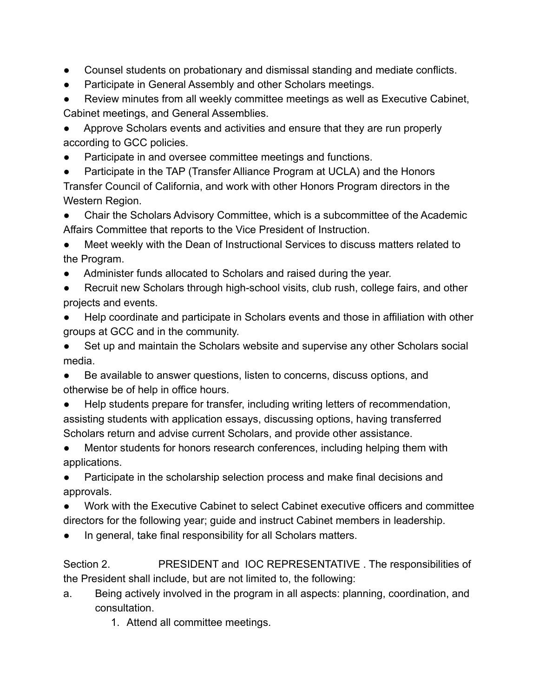- Counsel students on probationary and dismissal standing and mediate conflicts.
- Participate in General Assembly and other Scholars meetings.

● Review minutes from all weekly committee meetings as well as Executive Cabinet, Cabinet meetings, and General Assemblies.

Approve Scholars events and activities and ensure that they are run properly according to GCC policies.

Participate in and oversee committee meetings and functions.

● Participate in the TAP (Transfer Alliance Program at UCLA) and the Honors Transfer Council of California, and work with other Honors Program directors in the Western Region.

Chair the Scholars Advisory Committee, which is a subcommittee of the Academic Affairs Committee that reports to the Vice President of Instruction.

Meet weekly with the Dean of Instructional Services to discuss matters related to the Program.

- Administer funds allocated to Scholars and raised during the year.
- Recruit new Scholars through high-school visits, club rush, college fairs, and other projects and events.
- Help coordinate and participate in Scholars events and those in affiliation with other groups at GCC and in the community.

● Set up and maintain the Scholars website and supervise any other Scholars social media.

Be available to answer questions, listen to concerns, discuss options, and otherwise be of help in office hours.

Help students prepare for transfer, including writing letters of recommendation, assisting students with application essays, discussing options, having transferred Scholars return and advise current Scholars, and provide other assistance.

● Mentor students for honors research conferences, including helping them with applications.

● Participate in the scholarship selection process and make final decisions and approvals.

Work with the Executive Cabinet to select Cabinet executive officers and committee directors for the following year; guide and instruct Cabinet members in leadership.

In general, take final responsibility for all Scholars matters.

Section 2. PRESIDENT and IOC REPRESENTATIVE . The responsibilities of the President shall include, but are not limited to, the following:

a. Being actively involved in the program in all aspects: planning, coordination, and consultation.

1. Attend all committee meetings.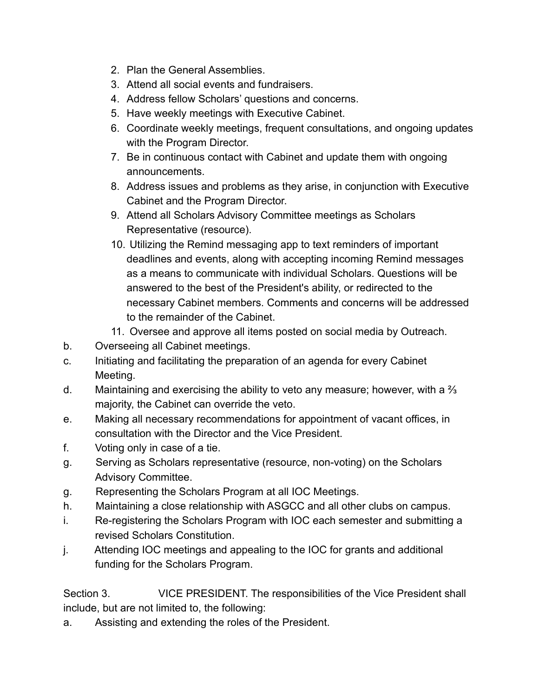- 2. Plan the General Assemblies.
- 3. Attend all social events and fundraisers.
- 4. Address fellow Scholars' questions and concerns.
- 5. Have weekly meetings with Executive Cabinet.
- 6. Coordinate weekly meetings, frequent consultations, and ongoing updates with the Program Director.
- 7. Be in continuous contact with Cabinet and update them with ongoing announcements.
- 8. Address issues and problems as they arise, in conjunction with Executive Cabinet and the Program Director.
- 9. Attend all Scholars Advisory Committee meetings as Scholars Representative (resource).
- 10. Utilizing the Remind messaging app to text reminders of important deadlines and events, along with accepting incoming Remind messages as a means to communicate with individual Scholars. Questions will be answered to the best of the President's ability, or redirected to the necessary Cabinet members. Comments and concerns will be addressed to the remainder of the Cabinet.
- 11. Oversee and approve all items posted on social media by Outreach.
- b. Overseeing all Cabinet meetings.
- c. Initiating and facilitating the preparation of an agenda for every Cabinet Meeting.
- d. Maintaining and exercising the ability to veto any measure; however, with a  $\frac{2}{3}$ majority, the Cabinet can override the veto.
- e. Making all necessary recommendations for appointment of vacant offices, in consultation with the Director and the Vice President.
- f. Voting only in case of a tie.
- g. Serving as Scholars representative (resource, non-voting) on the Scholars Advisory Committee.
- g. Representing the Scholars Program at all IOC Meetings.
- h. Maintaining a close relationship with ASGCC and all other clubs on campus.
- i. Re-registering the Scholars Program with IOC each semester and submitting a revised Scholars Constitution.
- j. Attending IOC meetings and appealing to the IOC for grants and additional funding for the Scholars Program.

Section 3. VICE PRESIDENT. The responsibilities of the Vice President shall include, but are not limited to, the following:

a. Assisting and extending the roles of the President.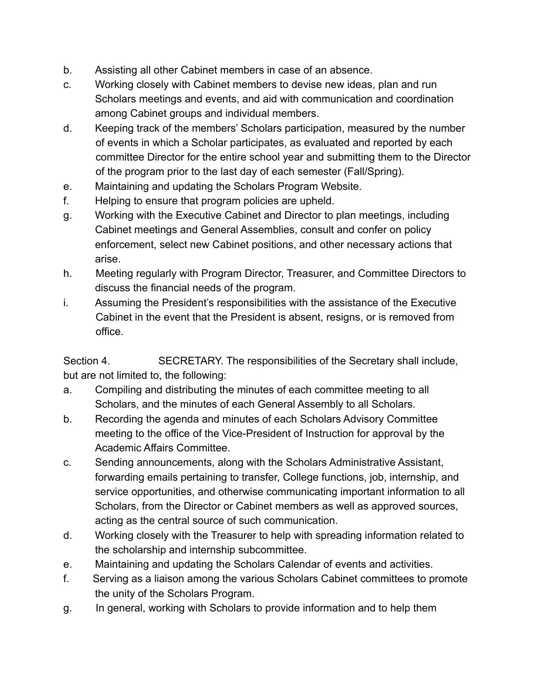- b. Assisting all other Cabinet members in case of an absence.
- c. Working closely with Cabinet members to devise new ideas, plan and run Scholars meetings and events, and aid with communication and coordination among Cabinet groups and individual members.
- d. Keeping track of the members' Scholars participation, measured by the number of events in which a Scholar participates, as evaluated and reported by each committee Director for the entire school year and submitting them to the Director of the program prior to the last day of each semester (Fall/Spring).
- e. Maintaining and updating the Scholars Program Website.
- f. Helping to ensure that program policies are upheld.
- g. Working with the Executive Cabinet and Director to plan meetings, including Cabinet meetings and General Assemblies, consult and confer on policy enforcement, select new Cabinet positions, and other necessary actions that arise.
- h. Meeting regularly with Program Director, Treasurer, and Committee Directors to discuss the financial needs of the program.
- i. Assuming the President's responsibilities with the assistance of the Executive Cabinet in the event that the President is absent, resigns, or is removed from office.

Section 4. SECRETARY. The responsibilities of the Secretary shall include, but are not limited to, the following:

- a. Compiling and distributing the minutes of each committee meeting to all Scholars, and the minutes of each General Assembly to all Scholars.
- b. Recording the agenda and minutes of each Scholars Advisory Committee meeting to the office of the Vice-President of Instruction for approval by the Academic Affairs Committee.
- c. Sending announcements, along with the Scholars Administrative Assistant, forwarding emails pertaining to transfer, College functions, job, internship, and service opportunities, and otherwise communicating important information to all Scholars, from the Director or Cabinet members as well as approved sources, acting as the central source of such communication.
- d. Working closely with the Treasurer to help with spreading information related to the scholarship and internship subcommittee.
- e. Maintaining and updating the Scholars Calendar of events and activities.
- f. Serving as a liaison among the various Scholars Cabinet committees to promote the unity of the Scholars Program.
- g. In general, working with Scholars to provide information and to help them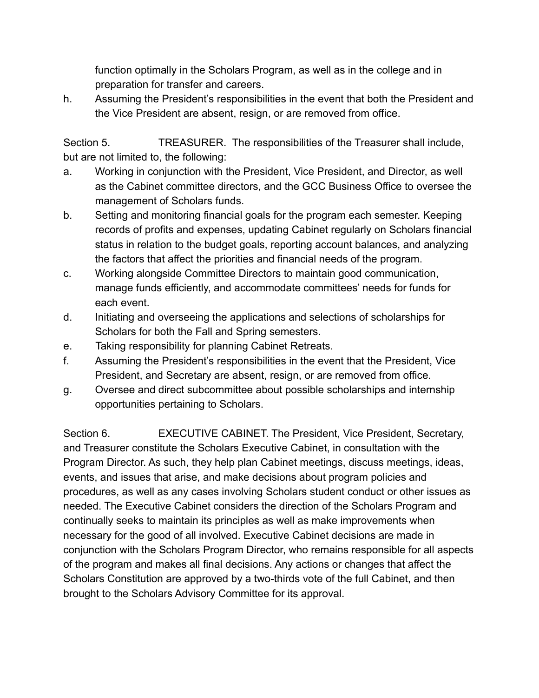function optimally in the Scholars Program, as well as in the college and in preparation for transfer and careers.

h. Assuming the President's responsibilities in the event that both the President and the Vice President are absent, resign, or are removed from office.

Section 5. TREASURER. The responsibilities of the Treasurer shall include, but are not limited to, the following:

- a. Working in conjunction with the President, Vice President, and Director, as well as the Cabinet committee directors, and the GCC Business Office to oversee the management of Scholars funds.
- b. Setting and monitoring financial goals for the program each semester. Keeping records of profits and expenses, updating Cabinet regularly on Scholars financial status in relation to the budget goals, reporting account balances, and analyzing the factors that affect the priorities and financial needs of the program.
- c. Working alongside Committee Directors to maintain good communication, manage funds efficiently, and accommodate committees' needs for funds for each event.
- d. Initiating and overseeing the applications and selections of scholarships for Scholars for both the Fall and Spring semesters.
- e. Taking responsibility for planning Cabinet Retreats.
- f. Assuming the President's responsibilities in the event that the President, Vice President, and Secretary are absent, resign, or are removed from office.
- g. Oversee and direct subcommittee about possible scholarships and internship opportunities pertaining to Scholars.

Section 6. **EXECUTIVE CABINET.** The President, Vice President, Secretary, and Treasurer constitute the Scholars Executive Cabinet, in consultation with the Program Director. As such, they help plan Cabinet meetings, discuss meetings, ideas, events, and issues that arise, and make decisions about program policies and procedures, as well as any cases involving Scholars student conduct or other issues as needed. The Executive Cabinet considers the direction of the Scholars Program and continually seeks to maintain its principles as well as make improvements when necessary for the good of all involved. Executive Cabinet decisions are made in conjunction with the Scholars Program Director, who remains responsible for all aspects of the program and makes all final decisions. Any actions or changes that affect the Scholars Constitution are approved by a two-thirds vote of the full Cabinet, and then brought to the Scholars Advisory Committee for its approval.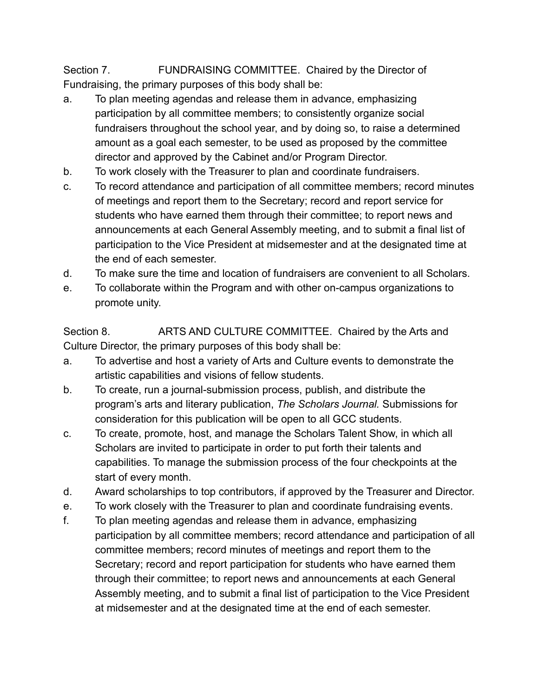Section 7. FUNDRAISING COMMITTEE. Chaired by the Director of Fundraising, the primary purposes of this body shall be:

- a. To plan meeting agendas and release them in advance, emphasizing participation by all committee members; to consistently organize social fundraisers throughout the school year, and by doing so, to raise a determined amount as a goal each semester, to be used as proposed by the committee director and approved by the Cabinet and/or Program Director.
- b. To work closely with the Treasurer to plan and coordinate fundraisers.
- c. To record attendance and participation of all committee members; record minutes of meetings and report them to the Secretary; record and report service for students who have earned them through their committee; to report news and announcements at each General Assembly meeting, and to submit a final list of participation to the Vice President at midsemester and at the designated time at the end of each semester.
- d. To make sure the time and location of fundraisers are convenient to all Scholars.
- e. To collaborate within the Program and with other on-campus organizations to promote unity.

Section 8. ARTS AND CULTURE COMMITTEE. Chaired by the Arts and Culture Director, the primary purposes of this body shall be:

- a. To advertise and host a variety of Arts and Culture events to demonstrate the artistic capabilities and visions of fellow students.
- b. To create, run a journal-submission process, publish, and distribute the program's arts and literary publication, *The Scholars Journal.* Submissions for consideration for this publication will be open to all GCC students.
- c. To create, promote, host, and manage the Scholars Talent Show, in which all Scholars are invited to participate in order to put forth their talents and capabilities. To manage the submission process of the four checkpoints at the start of every month.
- d. Award scholarships to top contributors, if approved by the Treasurer and Director.
- e. To work closely with the Treasurer to plan and coordinate fundraising events.
- f. To plan meeting agendas and release them in advance, emphasizing participation by all committee members; record attendance and participation of all committee members; record minutes of meetings and report them to the Secretary; record and report participation for students who have earned them through their committee; to report news and announcements at each General Assembly meeting, and to submit a final list of participation to the Vice President at midsemester and at the designated time at the end of each semester.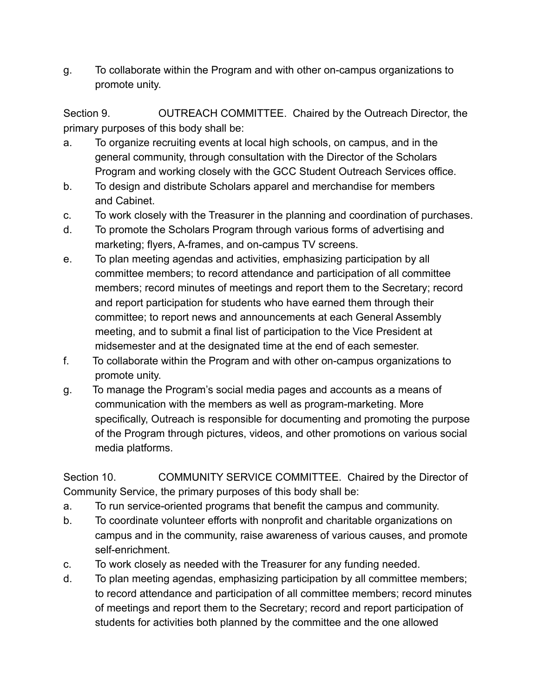g. To collaborate within the Program and with other on-campus organizations to promote unity.

Section 9. OUTREACH COMMITTEE. Chaired by the Outreach Director, the primary purposes of this body shall be:

- a. To organize recruiting events at local high schools, on campus, and in the general community, through consultation with the Director of the Scholars Program and working closely with the GCC Student Outreach Services office.
- b. To design and distribute Scholars apparel and merchandise for members and Cabinet.
- c. To work closely with the Treasurer in the planning and coordination of purchases.
- d. To promote the Scholars Program through various forms of advertising and marketing; flyers, A-frames, and on-campus TV screens.
- e. To plan meeting agendas and activities, emphasizing participation by all committee members; to record attendance and participation of all committee members; record minutes of meetings and report them to the Secretary; record and report participation for students who have earned them through their committee; to report news and announcements at each General Assembly meeting, and to submit a final list of participation to the Vice President at midsemester and at the designated time at the end of each semester.
- f. To collaborate within the Program and with other on-campus organizations to promote unity.
- g. To manage the Program's social media pages and accounts as a means of communication with the members as well as program-marketing. More specifically, Outreach is responsible for documenting and promoting the purpose of the Program through pictures, videos, and other promotions on various social media platforms.

Section 10. COMMUNITY SERVICE COMMITTEE. Chaired by the Director of Community Service, the primary purposes of this body shall be:

- a. To run service-oriented programs that benefit the campus and community.
- b. To coordinate volunteer efforts with nonprofit and charitable organizations on campus and in the community, raise awareness of various causes, and promote self-enrichment.
- c. To work closely as needed with the Treasurer for any funding needed.
- d. To plan meeting agendas, emphasizing participation by all committee members; to record attendance and participation of all committee members; record minutes of meetings and report them to the Secretary; record and report participation of students for activities both planned by the committee and the one allowed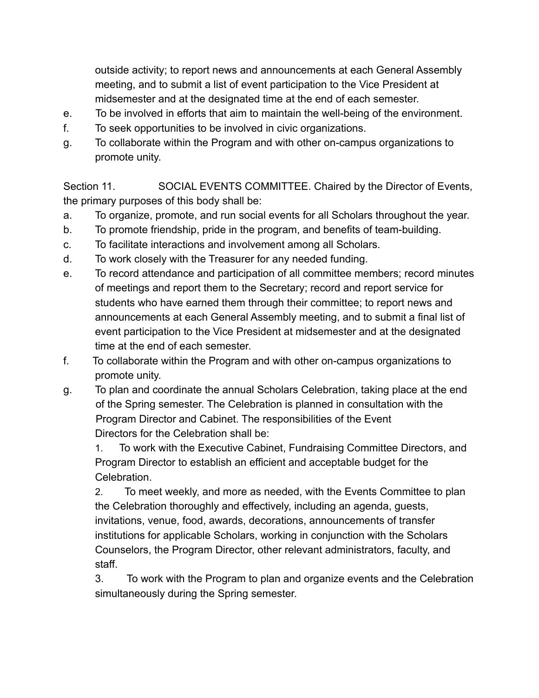outside activity; to report news and announcements at each General Assembly meeting, and to submit a list of event participation to the Vice President at midsemester and at the designated time at the end of each semester.

- e. To be involved in efforts that aim to maintain the well-being of the environment.
- f. To seek opportunities to be involved in civic organizations.
- g. To collaborate within the Program and with other on-campus organizations to promote unity.

Section 11. SOCIAL EVENTS COMMITTEE. Chaired by the Director of Events, the primary purposes of this body shall be:

- a. To organize, promote, and run social events for all Scholars throughout the year.
- b. To promote friendship, pride in the program, and benefits of team-building.
- c. To facilitate interactions and involvement among all Scholars.
- d. To work closely with the Treasurer for any needed funding.
- e. To record attendance and participation of all committee members; record minutes of meetings and report them to the Secretary; record and report service for students who have earned them through their committee; to report news and announcements at each General Assembly meeting, and to submit a final list of event participation to the Vice President at midsemester and at the designated time at the end of each semester.
- f. To collaborate within the Program and with other on-campus organizations to promote unity.
- g. To plan and coordinate the annual Scholars Celebration, taking place at the end of the Spring semester. The Celebration is planned in consultation with the Program Director and Cabinet. The responsibilities of the Event Directors for the Celebration shall be:

1. To work with the Executive Cabinet, Fundraising Committee Directors, and Program Director to establish an efficient and acceptable budget for the **Celebration** 

2. To meet weekly, and more as needed, with the Events Committee to plan the Celebration thoroughly and effectively, including an agenda, guests, invitations, venue, food, awards, decorations, announcements of transfer institutions for applicable Scholars, working in conjunction with the Scholars Counselors, the Program Director, other relevant administrators, faculty, and staff.

3. To work with the Program to plan and organize events and the Celebration simultaneously during the Spring semester.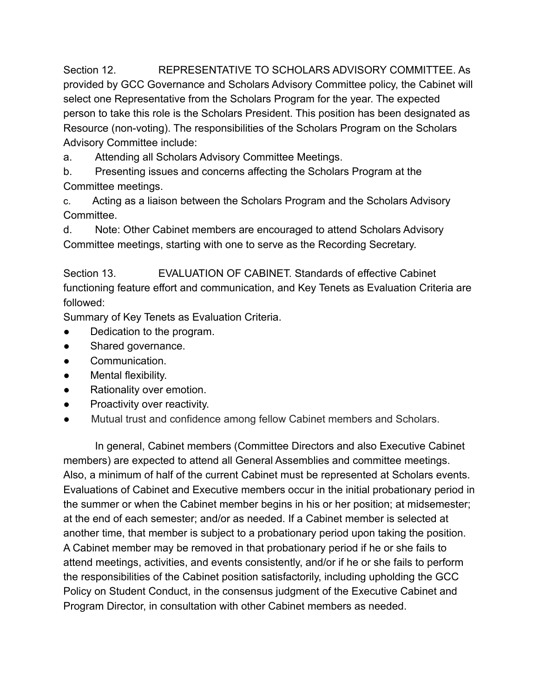Section 12. REPRESENTATIVE TO SCHOLARS ADVISORY COMMITTEE. As provided by GCC Governance and Scholars Advisory Committee policy, the Cabinet will select one Representative from the Scholars Program for the year. The expected person to take this role is the Scholars President. This position has been designated as Resource (non-voting). The responsibilities of the Scholars Program on the Scholars Advisory Committee include:

a. Attending all Scholars Advisory Committee Meetings.

b. Presenting issues and concerns affecting the Scholars Program at the Committee meetings.

c. Acting as a liaison between the Scholars Program and the Scholars Advisory Committee.

d. Note: Other Cabinet members are encouraged to attend Scholars Advisory Committee meetings, starting with one to serve as the Recording Secretary.

Section 13. EVALUATION OF CABINET. Standards of effective Cabinet functioning feature effort and communication, and Key Tenets as Evaluation Criteria are followed:

Summary of Key Tenets as Evaluation Criteria.

- Dedication to the program.
- Shared governance.
- Communication.
- Mental flexibility.
- Rationality over emotion.
- Proactivity over reactivity.
- Mutual trust and confidence among fellow Cabinet members and Scholars.

In general, Cabinet members (Committee Directors and also Executive Cabinet members) are expected to attend all General Assemblies and committee meetings. Also, a minimum of half of the current Cabinet must be represented at Scholars events. Evaluations of Cabinet and Executive members occur in the initial probationary period in the summer or when the Cabinet member begins in his or her position; at midsemester; at the end of each semester; and/or as needed. If a Cabinet member is selected at another time, that member is subject to a probationary period upon taking the position. A Cabinet member may be removed in that probationary period if he or she fails to attend meetings, activities, and events consistently, and/or if he or she fails to perform the responsibilities of the Cabinet position satisfactorily, including upholding the GCC Policy on Student Conduct, in the consensus judgment of the Executive Cabinet and Program Director, in consultation with other Cabinet members as needed.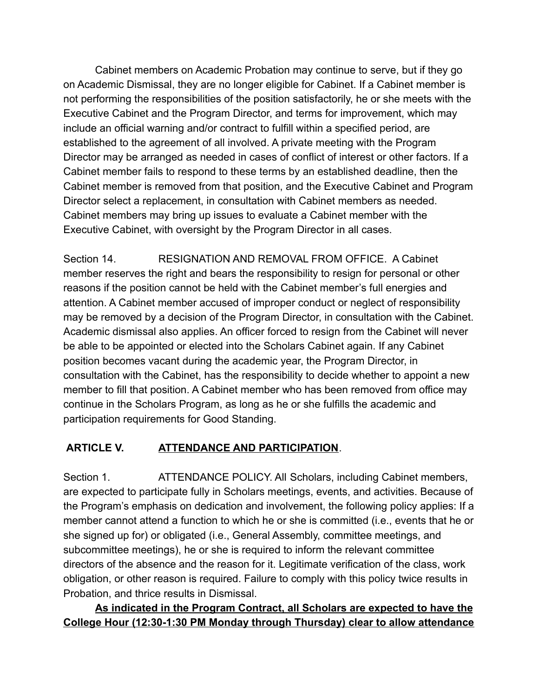Cabinet members on Academic Probation may continue to serve, but if they go on Academic Dismissal, they are no longer eligible for Cabinet. If a Cabinet member is not performing the responsibilities of the position satisfactorily, he or she meets with the Executive Cabinet and the Program Director, and terms for improvement, which may include an official warning and/or contract to fulfill within a specified period, are established to the agreement of all involved. A private meeting with the Program Director may be arranged as needed in cases of conflict of interest or other factors. If a Cabinet member fails to respond to these terms by an established deadline, then the Cabinet member is removed from that position, and the Executive Cabinet and Program Director select a replacement, in consultation with Cabinet members as needed. Cabinet members may bring up issues to evaluate a Cabinet member with the Executive Cabinet, with oversight by the Program Director in all cases.

Section 14. RESIGNATION AND REMOVAL FROM OFFICE. A Cabinet member reserves the right and bears the responsibility to resign for personal or other reasons if the position cannot be held with the Cabinet member's full energies and attention. A Cabinet member accused of improper conduct or neglect of responsibility may be removed by a decision of the Program Director, in consultation with the Cabinet. Academic dismissal also applies. An officer forced to resign from the Cabinet will never be able to be appointed or elected into the Scholars Cabinet again. If any Cabinet position becomes vacant during the academic year, the Program Director, in consultation with the Cabinet, has the responsibility to decide whether to appoint a new member to fill that position. A Cabinet member who has been removed from office may continue in the Scholars Program, as long as he or she fulfills the academic and participation requirements for Good Standing.

#### **ARTICLE V. ATTENDANCE AND PARTICIPATION**.

Section 1. ATTENDANCE POLICY. All Scholars, including Cabinet members, are expected to participate fully in Scholars meetings, events, and activities. Because of the Program's emphasis on dedication and involvement, the following policy applies: If a member cannot attend a function to which he or she is committed (i.e., events that he or she signed up for) or obligated (i.e., General Assembly, committee meetings, and subcommittee meetings), he or she is required to inform the relevant committee directors of the absence and the reason for it. Legitimate verification of the class, work obligation, or other reason is required. Failure to comply with this policy twice results in Probation, and thrice results in Dismissal.

**As indicated in the Program Contract, all Scholars are expected to have the College Hour (12:30-1:30 PM Monday through Thursday) clear to allow attendance**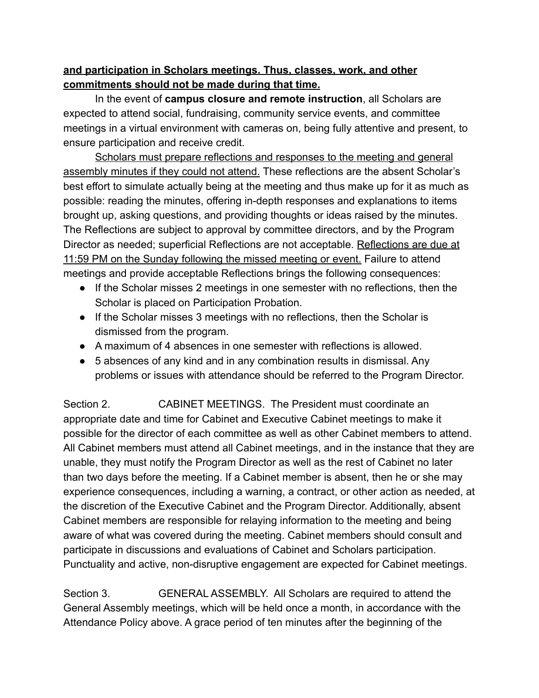#### **and participation in Scholars meetings. Thus, classes, work, and other commitments should not be made during that time.**

In the event of **campus closure and remote instruction**, all Scholars are expected to attend social, fundraising, community service events, and committee meetings in a virtual environment with cameras on, being fully attentive and present, to ensure participation and receive credit.

Scholars must prepare reflections and responses to the meeting and general assembly minutes if they could not attend. These reflections are the absent Scholar's best effort to simulate actually being at the meeting and thus make up for it as much as possible: reading the minutes, offering in-depth responses and explanations to items brought up, asking questions, and providing thoughts or ideas raised by the minutes. The Reflections are subject to approval by committee directors, and by the Program Director as needed; superficial Reflections are not acceptable. Reflections are due at 11:59 PM on the Sunday following the missed meeting or event. Failure to attend meetings and provide acceptable Reflections brings the following consequences:

- If the Scholar misses 2 meetings in one semester with no reflections, then the Scholar is placed on Participation Probation.
- If the Scholar misses 3 meetings with no reflections, then the Scholar is dismissed from the program.
- A maximum of 4 absences in one semester with reflections is allowed.
- 5 absences of any kind and in any combination results in dismissal. Any problems or issues with attendance should be referred to the Program Director.

Section 2. CABINET MEETINGS. The President must coordinate an appropriate date and time for Cabinet and Executive Cabinet meetings to make it possible for the director of each committee as well as other Cabinet members to attend. All Cabinet members must attend all Cabinet meetings, and in the instance that they are unable, they must notify the Program Director as well as the rest of Cabinet no later than two days before the meeting. If a Cabinet member is absent, then he or she may experience consequences, including a warning, a contract, or other action as needed, at the discretion of the Executive Cabinet and the Program Director. Additionally, absent Cabinet members are responsible for relaying information to the meeting and being aware of what was covered during the meeting. Cabinet members should consult and participate in discussions and evaluations of Cabinet and Scholars participation. Punctuality and active, non-disruptive engagement are expected for Cabinet meetings.

Section 3. GENERAL ASSEMBLY. All Scholars are required to attend the General Assembly meetings, which will be held once a month, in accordance with the Attendance Policy above. A grace period of ten minutes after the beginning of the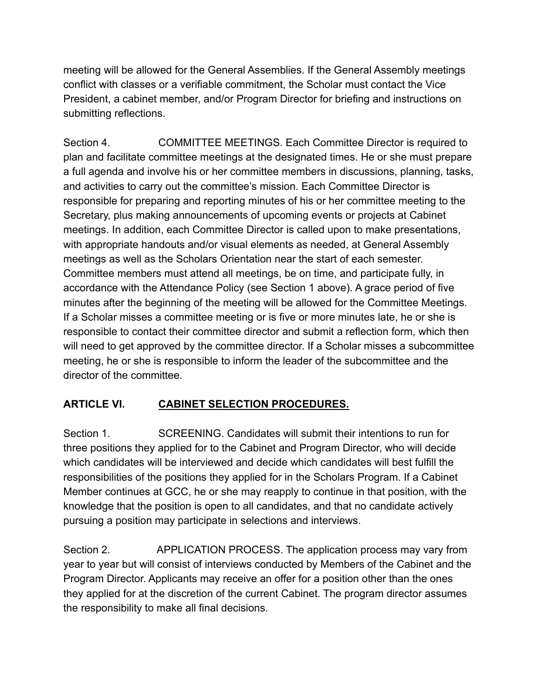meeting will be allowed for the General Assemblies. If the General Assembly meetings conflict with classes or a verifiable commitment, the Scholar must contact the Vice President, a cabinet member, and/or Program Director for briefing and instructions on submitting reflections.

Section 4. COMMITTEE MEETINGS. Each Committee Director is required to plan and facilitate committee meetings at the designated times. He or she must prepare a full agenda and involve his or her committee members in discussions, planning, tasks, and activities to carry out the committee's mission. Each Committee Director is responsible for preparing and reporting minutes of his or her committee meeting to the Secretary, plus making announcements of upcoming events or projects at Cabinet meetings. In addition, each Committee Director is called upon to make presentations, with appropriate handouts and/or visual elements as needed, at General Assembly meetings as well as the Scholars Orientation near the start of each semester. Committee members must attend all meetings, be on time, and participate fully, in accordance with the Attendance Policy (see Section 1 above). A grace period of five minutes after the beginning of the meeting will be allowed for the Committee Meetings. If a Scholar misses a committee meeting or is five or more minutes late, he or she is responsible to contact their committee director and submit a reflection form, which then will need to get approved by the committee director. If a Scholar misses a subcommittee meeting, he or she is responsible to inform the leader of the subcommittee and the director of the committee.

#### **ARTICLE VI. CABINET SELECTION PROCEDURES.**

Section 1. SCREENING. Candidates will submit their intentions to run for three positions they applied for to the Cabinet and Program Director, who will decide which candidates will be interviewed and decide which candidates will best fulfill the responsibilities of the positions they applied for in the Scholars Program. If a Cabinet Member continues at GCC, he or she may reapply to continue in that position, with the knowledge that the position is open to all candidates, and that no candidate actively pursuing a position may participate in selections and interviews.

Section 2. APPLICATION PROCESS. The application process may vary from year to year but will consist of interviews conducted by Members of the Cabinet and the Program Director. Applicants may receive an offer for a position other than the ones they applied for at the discretion of the current Cabinet. The program director assumes the responsibility to make all final decisions.